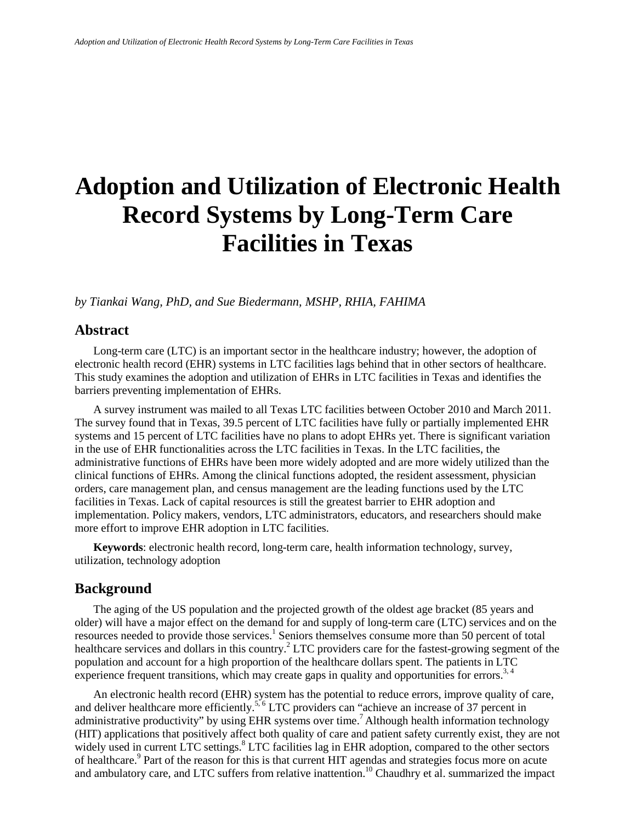# **Adoption and Utilization of Electronic Health Record Systems by Long-Term Care Facilities in Texas**

*by Tiankai Wang, PhD, and Sue Biedermann, MSHP, RHIA, FAHIMA*

## **Abstract**

Long-term care (LTC) is an important sector in the healthcare industry; however, the adoption of electronic health record (EHR) systems in LTC facilities lags behind that in other sectors of healthcare. This study examines the adoption and utilization of EHRs in LTC facilities in Texas and identifies the barriers preventing implementation of EHRs.

A survey instrument was mailed to all Texas LTC facilities between October 2010 and March 2011. The survey found that in Texas, 39.5 percent of LTC facilities have fully or partially implemented EHR systems and 15 percent of LTC facilities have no plans to adopt EHRs yet. There is significant variation in the use of EHR functionalities across the LTC facilities in Texas. In the LTC facilities, the administrative functions of EHRs have been more widely adopted and are more widely utilized than the clinical functions of EHRs. Among the clinical functions adopted, the resident assessment, physician orders, care management plan, and census management are the leading functions used by the LTC facilities in Texas. Lack of capital resources is still the greatest barrier to EHR adoption and implementation. Policy makers, vendors, LTC administrators, educators, and researchers should make more effort to improve EHR adoption in LTC facilities.

**Keywords**: electronic health record, long-term care, health information technology, survey, utilization, technology adoption

#### **Background**

The aging of the US population and the projected growth of the oldest age bracket (85 years and older) will have a major effect on the demand for and supply of long-term care (LTC) services and on the resources needed to provide those services.<sup>1</sup> Seniors themselves consume more than 50 percent of total healthcare services and dollars in this country.<sup>2</sup> LTC providers care for the fastest-growing segment of the population and account for a high proportion of the healthcare dollars spent. The patients in LTC experience frequent transitions, which may create gaps in quality and opportunities for errors.<sup>3, 4</sup>

An electronic health record (EHR) system has the potential to reduce errors, improve quality of care, and deliver healthcare more efficiently.<sup>5, 6</sup> LTC providers can "achieve an increase of 37 percent in administrative productivity" by using EHR systems over time.<sup>7</sup> Although health information technology (HIT) applications that positively affect both quality of care and patient safety currently exist, they are not widely used in current LTC settings.<sup>8</sup> LTC facilities lag in EHR adoption, compared to the other sectors of healthcare.9 Part of the reason for this is that current HIT agendas and strategies focus more on acute and ambulatory care, and LTC suffers from relative inattention.<sup>10</sup> Chaudhry et al. summarized the impact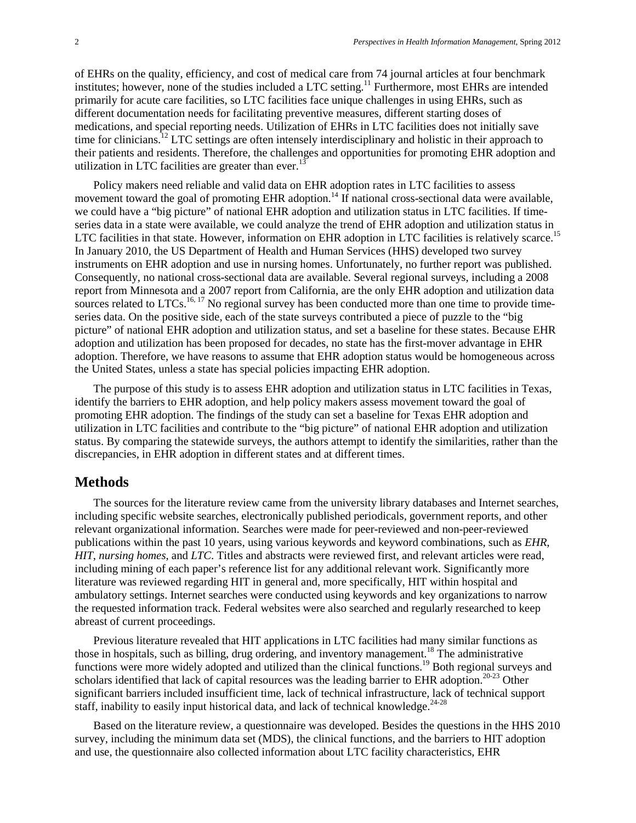of EHRs on the quality, efficiency, and cost of medical care from 74 journal articles at four benchmark institutes; however, none of the studies included a LTC setting.<sup>11</sup> Furthermore, most EHRs are intended primarily for acute care facilities, so LTC facilities face unique challenges in using EHRs, such as different documentation needs for facilitating preventive measures, different starting doses of medications, and special reporting needs. Utilization of EHRs in LTC facilities does not initially save time for clinicians.<sup>12</sup> LTC settings are often intensely interdisciplinary and holistic in their approach to their patients and residents. Therefore, the challenges and opportunities for promoting EHR adoption and utilization in LTC facilities are greater than ever.<sup>13</sup>

Policy makers need reliable and valid data on EHR adoption rates in LTC facilities to assess movement toward the goal of promoting EHR adoption.<sup>14</sup> If national cross-sectional data were available, we could have a "big picture" of national EHR adoption and utilization status in LTC facilities. If timeseries data in a state were available, we could analyze the trend of EHR adoption and utilization status in LTC facilities in that state. However, information on EHR adoption in LTC facilities is relatively scarce.<sup>15</sup> In January 2010, the US Department of Health and Human Services (HHS) developed two survey instruments on EHR adoption and use in nursing homes. Unfortunately, no further report was published. Consequently, no national cross-sectional data are available. Several regional surveys, including a 2008 report from Minnesota and a 2007 report from California, are the only EHR adoption and utilization data sources related to  $LTCs$ .<sup>16, 17</sup> No regional survey has been conducted more than one time to provide timeseries data. On the positive side, each of the state surveys contributed a piece of puzzle to the "big picture" of national EHR adoption and utilization status, and set a baseline for these states. Because EHR adoption and utilization has been proposed for decades, no state has the first-mover advantage in EHR adoption. Therefore, we have reasons to assume that EHR adoption status would be homogeneous across the United States, unless a state has special policies impacting EHR adoption.

The purpose of this study is to assess EHR adoption and utilization status in LTC facilities in Texas, identify the barriers to EHR adoption, and help policy makers assess movement toward the goal of promoting EHR adoption. The findings of the study can set a baseline for Texas EHR adoption and utilization in LTC facilities and contribute to the "big picture" of national EHR adoption and utilization status. By comparing the statewide surveys, the authors attempt to identify the similarities, rather than the discrepancies, in EHR adoption in different states and at different times.

#### **Methods**

The sources for the literature review came from the university library databases and Internet searches, including specific website searches, electronically published periodicals, government reports, and other relevant organizational information. Searches were made for peer-reviewed and non-peer-reviewed publications within the past 10 years, using various keywords and keyword combinations, such as *EHR*, *HIT*, *nursing homes*, and *LTC*. Titles and abstracts were reviewed first, and relevant articles were read, including mining of each paper's reference list for any additional relevant work. Significantly more literature was reviewed regarding HIT in general and, more specifically, HIT within hospital and ambulatory settings. Internet searches were conducted using keywords and key organizations to narrow the requested information track. Federal websites were also searched and regularly researched to keep abreast of current proceedings.

Previous literature revealed that HIT applications in LTC facilities had many similar functions as those in hospitals, such as billing, drug ordering, and inventory management.<sup>18</sup> The administrative functions were more widely adopted and utilized than the clinical functions.<sup>19</sup> Both regional surveys and scholars identified that lack of capital resources was the leading barrier to EHR adoption.<sup>20-23</sup> Other significant barriers included insufficient time, lack of technical infrastructure, lack of technical support staff, inability to easily input historical data, and lack of technical knowledge. $24-28$ 

Based on the literature review, a questionnaire was developed. Besides the questions in the HHS 2010 survey, including the minimum data set (MDS), the clinical functions, and the barriers to HIT adoption and use, the questionnaire also collected information about LTC facility characteristics, EHR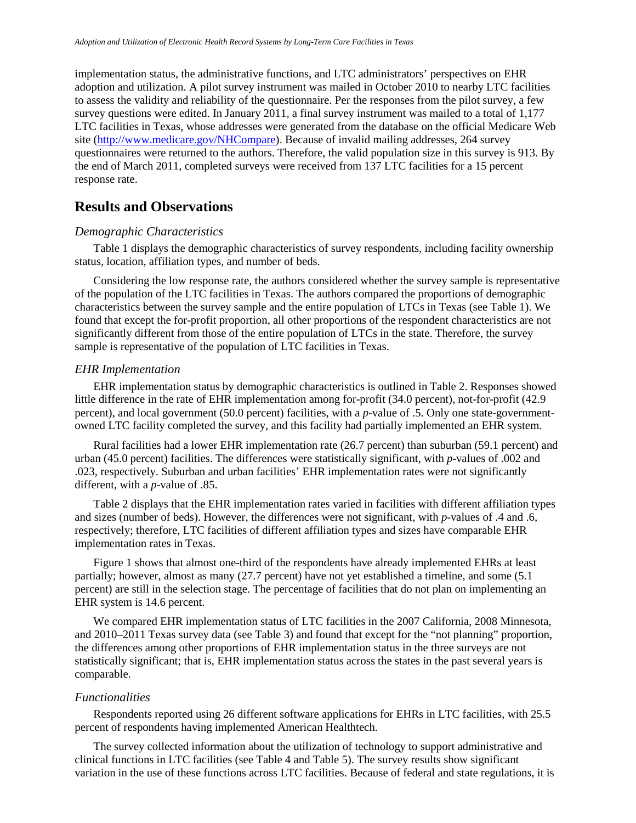implementation status, the administrative functions, and LTC administrators' perspectives on EHR adoption and utilization. A pilot survey instrument was mailed in October 2010 to nearby LTC facilities to assess the validity and reliability of the questionnaire. Per the responses from the pilot survey, a few survey questions were edited. In January 2011, a final survey instrument was mailed to a total of 1,177 LTC facilities in Texas, whose addresses were generated from the database on the official Medicare Web site [\(http://www.medicare.gov/NHCompare\)](http://www.medicare.gov/NHCompare). Because of invalid mailing addresses, 264 survey questionnaires were returned to the authors. Therefore, the valid population size in this survey is 913. By the end of March 2011, completed surveys were received from 137 LTC facilities for a 15 percent response rate.

## **Results and Observations**

#### *Demographic Characteristics*

Table 1 displays the demographic characteristics of survey respondents, including facility ownership status, location, affiliation types, and number of beds.

Considering the low response rate, the authors considered whether the survey sample is representative of the population of the LTC facilities in Texas. The authors compared the proportions of demographic characteristics between the survey sample and the entire population of LTCs in Texas (see Table 1). We found that except the for-profit proportion, all other proportions of the respondent characteristics are not significantly different from those of the entire population of LTCs in the state. Therefore, the survey sample is representative of the population of LTC facilities in Texas.

#### *EHR Implementation*

EHR implementation status by demographic characteristics is outlined in Table 2. Responses showed little difference in the rate of EHR implementation among for-profit (34.0 percent), not-for-profit (42.9 percent), and local government (50.0 percent) facilities, with a *p*-value of .5. Only one state-governmentowned LTC facility completed the survey, and this facility had partially implemented an EHR system.

Rural facilities had a lower EHR implementation rate (26.7 percent) than suburban (59.1 percent) and urban (45.0 percent) facilities. The differences were statistically significant, with *p*-values of .002 and .023, respectively. Suburban and urban facilities' EHR implementation rates were not significantly different, with a *p*-value of .85.

Table 2 displays that the EHR implementation rates varied in facilities with different affiliation types and sizes (number of beds). However, the differences were not significant, with *p*-values of .4 and .6, respectively; therefore, LTC facilities of different affiliation types and sizes have comparable EHR implementation rates in Texas.

Figure 1 shows that almost one-third of the respondents have already implemented EHRs at least partially; however, almost as many (27.7 percent) have not yet established a timeline, and some (5.1 percent) are still in the selection stage. The percentage of facilities that do not plan on implementing an EHR system is 14.6 percent.

We compared EHR implementation status of LTC facilities in the 2007 California, 2008 Minnesota, and 2010–2011 Texas survey data (see Table 3) and found that except for the "not planning" proportion, the differences among other proportions of EHR implementation status in the three surveys are not statistically significant; that is, EHR implementation status across the states in the past several years is comparable.

#### *Functionalities*

Respondents reported using 26 different software applications for EHRs in LTC facilities, with 25.5 percent of respondents having implemented American Healthtech.

The survey collected information about the utilization of technology to support administrative and clinical functions in LTC facilities (see Table 4 and Table 5). The survey results show significant variation in the use of these functions across LTC facilities. Because of federal and state regulations, it is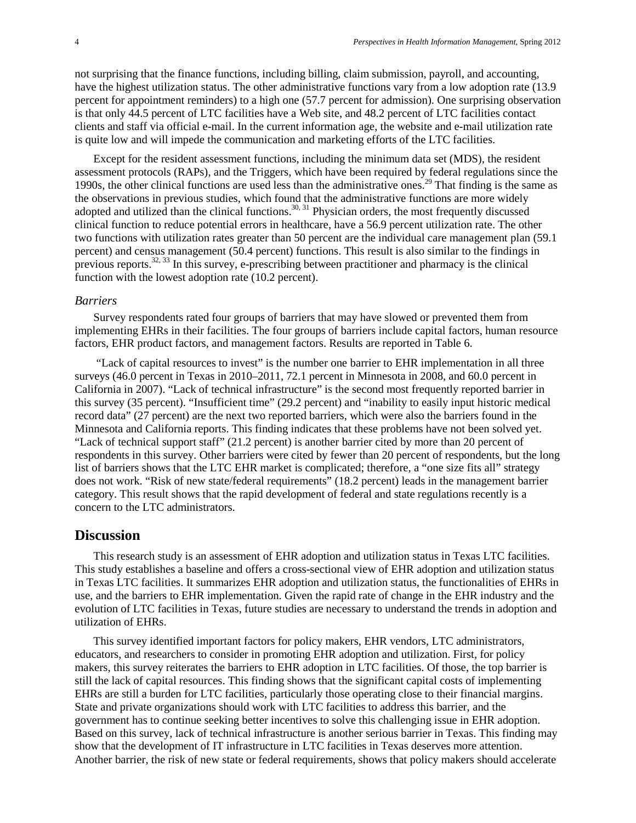not surprising that the finance functions, including billing, claim submission, payroll, and accounting, have the highest utilization status. The other administrative functions vary from a low adoption rate (13.9) percent for appointment reminders) to a high one (57.7 percent for admission). One surprising observation is that only 44.5 percent of LTC facilities have a Web site, and 48.2 percent of LTC facilities contact clients and staff via official e-mail. In the current information age, the website and e-mail utilization rate is quite low and will impede the communication and marketing efforts of the LTC facilities.

Except for the resident assessment functions, including the minimum data set (MDS), the resident assessment protocols (RAPs), and the Triggers, which have been required by federal regulations since the 1990s, the other clinical functions are used less than the administrative ones.<sup>29</sup> That finding is the same as the observations in previous studies, which found that the administrative functions are more widely adopted and utilized than the clinical functions.<sup>30, 31</sup> Physician orders, the most frequently discussed clinical function to reduce potential errors in healthcare, have a 56.9 percent utilization rate. The other two functions with utilization rates greater than 50 percent are the individual care management plan (59.1 percent) and census management (50.4 percent) functions. This result is also similar to the findings in previous reports.<sup>32, 33</sup> In this survey, e-prescribing between practitioner and pharmacy is the clinical function with the lowest adoption rate (10.2 percent).

#### *Barriers*

Survey respondents rated four groups of barriers that may have slowed or prevented them from implementing EHRs in their facilities. The four groups of barriers include capital factors, human resource factors, EHR product factors, and management factors. Results are reported in Table 6.

"Lack of capital resources to invest" is the number one barrier to EHR implementation in all three surveys (46.0 percent in Texas in 2010–2011, 72.1 percent in Minnesota in 2008, and 60.0 percent in California in 2007). "Lack of technical infrastructure" is the second most frequently reported barrier in this survey (35 percent). "Insufficient time" (29.2 percent) and "inability to easily input historic medical record data" (27 percent) are the next two reported barriers, which were also the barriers found in the Minnesota and California reports. This finding indicates that these problems have not been solved yet. "Lack of technical support staff" (21.2 percent) is another barrier cited by more than 20 percent of respondents in this survey. Other barriers were cited by fewer than 20 percent of respondents, but the long list of barriers shows that the LTC EHR market is complicated; therefore, a "one size fits all" strategy does not work. "Risk of new state/federal requirements" (18.2 percent) leads in the management barrier category. This result shows that the rapid development of federal and state regulations recently is a concern to the LTC administrators.

#### **Discussion**

This research study is an assessment of EHR adoption and utilization status in Texas LTC facilities. This study establishes a baseline and offers a cross-sectional view of EHR adoption and utilization status in Texas LTC facilities. It summarizes EHR adoption and utilization status, the functionalities of EHRs in use, and the barriers to EHR implementation. Given the rapid rate of change in the EHR industry and the evolution of LTC facilities in Texas, future studies are necessary to understand the trends in adoption and utilization of EHRs.

This survey identified important factors for policy makers, EHR vendors, LTC administrators, educators, and researchers to consider in promoting EHR adoption and utilization. First, for policy makers, this survey reiterates the barriers to EHR adoption in LTC facilities. Of those, the top barrier is still the lack of capital resources. This finding shows that the significant capital costs of implementing EHRs are still a burden for LTC facilities, particularly those operating close to their financial margins. State and private organizations should work with LTC facilities to address this barrier, and the government has to continue seeking better incentives to solve this challenging issue in EHR adoption. Based on this survey, lack of technical infrastructure is another serious barrier in Texas. This finding may show that the development of IT infrastructure in LTC facilities in Texas deserves more attention. Another barrier, the risk of new state or federal requirements, shows that policy makers should accelerate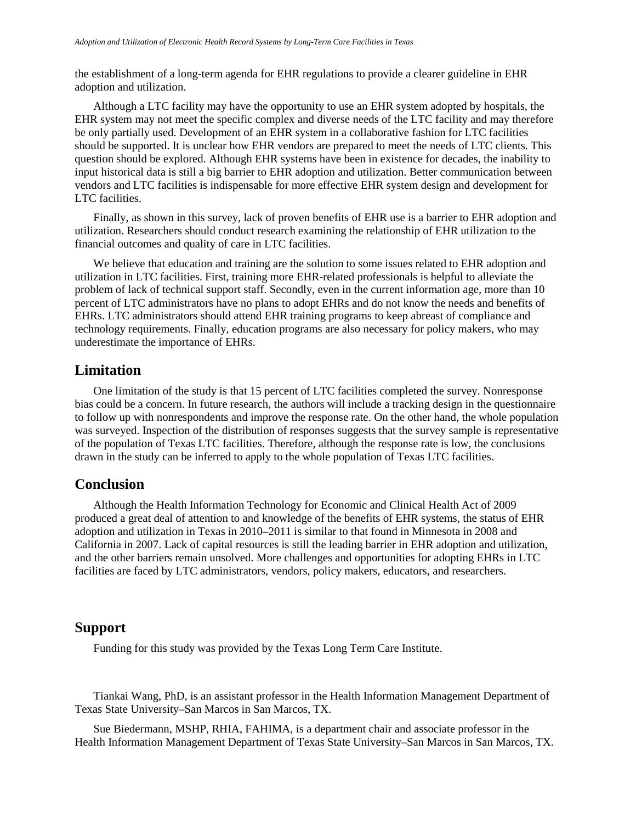the establishment of a long-term agenda for EHR regulations to provide a clearer guideline in EHR adoption and utilization.

Although a LTC facility may have the opportunity to use an EHR system adopted by hospitals, the EHR system may not meet the specific complex and diverse needs of the LTC facility and may therefore be only partially used. Development of an EHR system in a collaborative fashion for LTC facilities should be supported. It is unclear how EHR vendors are prepared to meet the needs of LTC clients. This question should be explored. Although EHR systems have been in existence for decades, the inability to input historical data is still a big barrier to EHR adoption and utilization. Better communication between vendors and LTC facilities is indispensable for more effective EHR system design and development for LTC facilities.

Finally, as shown in this survey, lack of proven benefits of EHR use is a barrier to EHR adoption and utilization. Researchers should conduct research examining the relationship of EHR utilization to the financial outcomes and quality of care in LTC facilities.

We believe that education and training are the solution to some issues related to EHR adoption and utilization in LTC facilities. First, training more EHR-related professionals is helpful to alleviate the problem of lack of technical support staff. Secondly, even in the current information age, more than 10 percent of LTC administrators have no plans to adopt EHRs and do not know the needs and benefits of EHRs. LTC administrators should attend EHR training programs to keep abreast of compliance and technology requirements. Finally, education programs are also necessary for policy makers, who may underestimate the importance of EHRs.

#### **Limitation**

One limitation of the study is that 15 percent of LTC facilities completed the survey. Nonresponse bias could be a concern. In future research, the authors will include a tracking design in the questionnaire to follow up with nonrespondents and improve the response rate. On the other hand, the whole population was surveyed. Inspection of the distribution of responses suggests that the survey sample is representative of the population of Texas LTC facilities. Therefore, although the response rate is low, the conclusions drawn in the study can be inferred to apply to the whole population of Texas LTC facilities.

#### **Conclusion**

Although the Health Information Technology for Economic and Clinical Health Act of 2009 produced a great deal of attention to and knowledge of the benefits of EHR systems, the status of EHR adoption and utilization in Texas in 2010–2011 is similar to that found in Minnesota in 2008 and California in 2007. Lack of capital resources is still the leading barrier in EHR adoption and utilization, and the other barriers remain unsolved. More challenges and opportunities for adopting EHRs in LTC facilities are faced by LTC administrators, vendors, policy makers, educators, and researchers.

#### **Support**

Funding for this study was provided by the Texas Long Term Care Institute.

Tiankai Wang, PhD, is an assistant professor in the Health Information Management Department of Texas State University–San Marcos in San Marcos, TX.

Sue Biedermann, MSHP, RHIA, FAHIMA, is a department chair and associate professor in the Health Information Management Department of Texas State University–San Marcos in San Marcos, TX.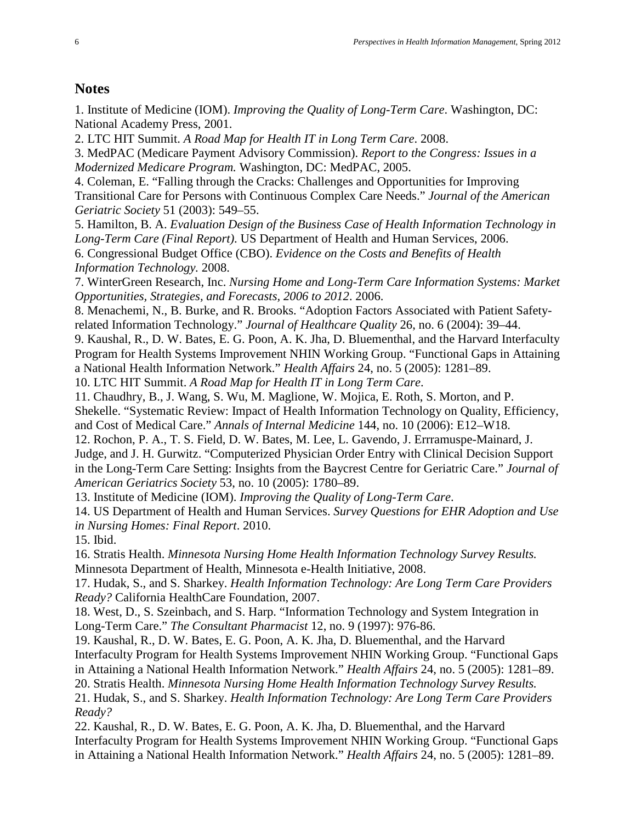# **Notes**

1. Institute of Medicine (IOM). *Improving the Quality of Long-Term Care*. Washington, DC: National Academy Press, 2001.

2. LTC HIT Summit. *A Road Map for Health IT in Long Term Care*. 2008.

3. MedPAC (Medicare Payment Advisory Commission). *Report to the Congress: Issues in a Modernized Medicare Program.* Washington, DC: MedPAC, 2005.

4. Coleman, E. "Falling through the Cracks: Challenges and Opportunities for Improving Transitional Care for Persons with Continuous Complex Care Needs." *Journal of the American Geriatric Society* 51 (2003): 549–55.

5. Hamilton, B. A. *Evaluation Design of the Business Case of Health Information Technology in Long-Term Care (Final Report)*. US Department of Health and Human Services, 2006. 6. Congressional Budget Office (CBO). *Evidence on the Costs and Benefits of Health Information Technology.* 2008.

7. WinterGreen Research, Inc. *Nursing Home and Long-Term Care Information Systems: Market Opportunities, Strategies, and Forecasts, 2006 to 2012*. 2006.

8. Menachemi, N., B. Burke, and R. Brooks. "Adoption Factors Associated with Patient Safetyrelated Information Technology." *Journal of Healthcare Quality* 26, no. 6 (2004): 39–44.

9. Kaushal, R., D. W. Bates, E. G. Poon, A. K. Jha, D. Bluementhal, and the Harvard Interfaculty Program for Health Systems Improvement NHIN Working Group. "Functional Gaps in Attaining a National Health Information Network." *Health Affairs* 24, no. 5 (2005): 1281–89.

10. LTC HIT Summit. *A Road Map for Health IT in Long Term Care*.

11. Chaudhry, B., J. Wang, S. Wu, M. Maglione, W. Mojica, E. Roth, S. Morton, and P. Shekelle. "Systematic Review: Impact of Health Information Technology on Quality, Efficiency, and Cost of Medical Care." *Annals of Internal Medicine* 144, no. 10 (2006): E12–W18.

12. Rochon, P. A., T. S. Field, D. W. Bates, M. Lee, L. Gavendo, J. Errramuspe-Mainard, J. Judge, and J. H. Gurwitz. "Computerized Physician Order Entry with Clinical Decision Support in the Long-Term Care Setting: Insights from the Baycrest Centre for Geriatric Care." *Journal of American Geriatrics Society* 53, no. 10 (2005): 1780–89.

13. Institute of Medicine (IOM). *Improving the Quality of Long-Term Care*.

14. US Department of Health and Human Services. *Survey Questions for EHR Adoption and Use in Nursing Homes: Final Report*. 2010.

15. Ibid.

16. Stratis Health. *Minnesota Nursing Home Health Information Technology Survey Results.* Minnesota Department of Health, Minnesota e-Health Initiative, 2008.

17. Hudak, S., and S. Sharkey. *Health Information Technology: Are Long Term Care Providers Ready?* California HealthCare Foundation, 2007.

18. West, D., S. Szeinbach, and S. Harp. "Information Technology and System Integration in Long-Term Care." *The Consultant Pharmacist* 12, no. 9 (1997): 976-86.

19. Kaushal, R., D. W. Bates, E. G. Poon, A. K. Jha, D. Bluementhal, and the Harvard Interfaculty Program for Health Systems Improvement NHIN Working Group. "Functional Gaps in Attaining a National Health Information Network." *Health Affairs* 24, no. 5 (2005): 1281–89.

20. Stratis Health. *Minnesota Nursing Home Health Information Technology Survey Results.*

21. Hudak, S., and S. Sharkey. *Health Information Technology: Are Long Term Care Providers Ready?* 

22. Kaushal, R., D. W. Bates, E. G. Poon, A. K. Jha, D. Bluementhal, and the Harvard Interfaculty Program for Health Systems Improvement NHIN Working Group. "Functional Gaps in Attaining a National Health Information Network." *Health Affairs* 24, no. 5 (2005): 1281–89.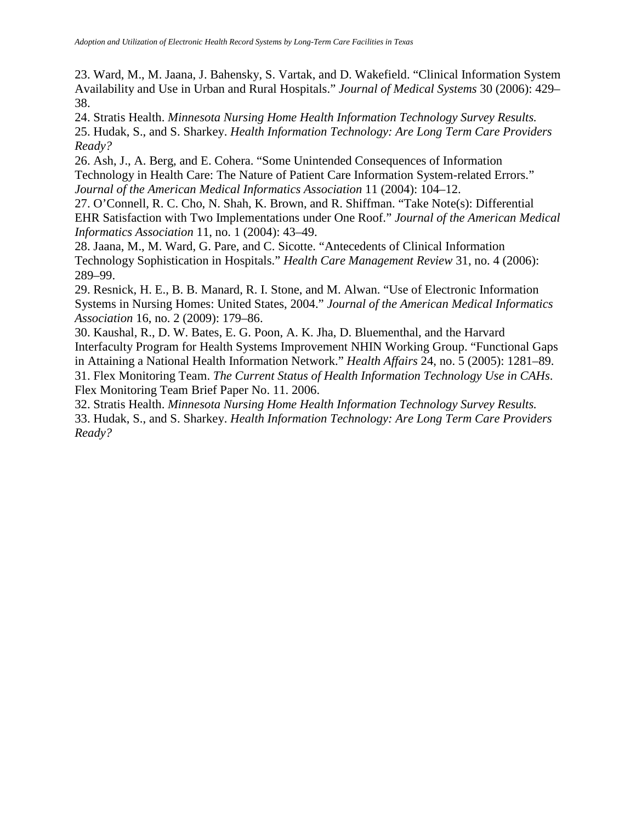23. Ward, M., M. Jaana, J. Bahensky, S. Vartak, and D. Wakefield. "Clinical Information System Availability and Use in Urban and Rural Hospitals." *Journal of Medical Systems* 30 (2006): 429– 38.

24. Stratis Health. *Minnesota Nursing Home Health Information Technology Survey Results.* 25. Hudak, S., and S. Sharkey. *Health Information Technology: Are Long Term Care Providers Ready?* 

26. Ash, J., A. Berg, and E. Cohera. "Some Unintended Consequences of Information Technology in Health Care: The Nature of Patient Care Information System-related Errors." *Journal of the American Medical Informatics Association* 11 (2004): 104–12.

27. O'Connell, R. C. Cho, N. Shah, K. Brown, and R. Shiffman. "Take Note(s): Differential EHR Satisfaction with Two Implementations under One Roof." *Journal of the American Medical Informatics Association* 11, no. 1 (2004): 43–49.

28. Jaana, M., M. Ward, G. Pare, and C. Sicotte. "Antecedents of Clinical Information Technology Sophistication in Hospitals." *Health Care Management Review* 31, no. 4 (2006): 289–99.

29. Resnick, H. E., B. B. Manard, R. I. Stone, and M. Alwan. "Use of Electronic Information Systems in Nursing Homes: United States, 2004." *Journal of the American Medical Informatics Association* 16, no. 2 (2009): 179–86.

30. Kaushal, R., D. W. Bates, E. G. Poon, A. K. Jha, D. Bluementhal, and the Harvard Interfaculty Program for Health Systems Improvement NHIN Working Group. "Functional Gaps in Attaining a National Health Information Network." *Health Affairs* 24, no. 5 (2005): 1281–89. 31. Flex Monitoring Team. *The Current Status of Health Information Technology Use in CAHs*. Flex Monitoring Team Brief Paper No. 11. 2006.

32. Stratis Health. *Minnesota Nursing Home Health Information Technology Survey Results.* 33. Hudak, S., and S. Sharkey. *Health Information Technology: Are Long Term Care Providers Ready?*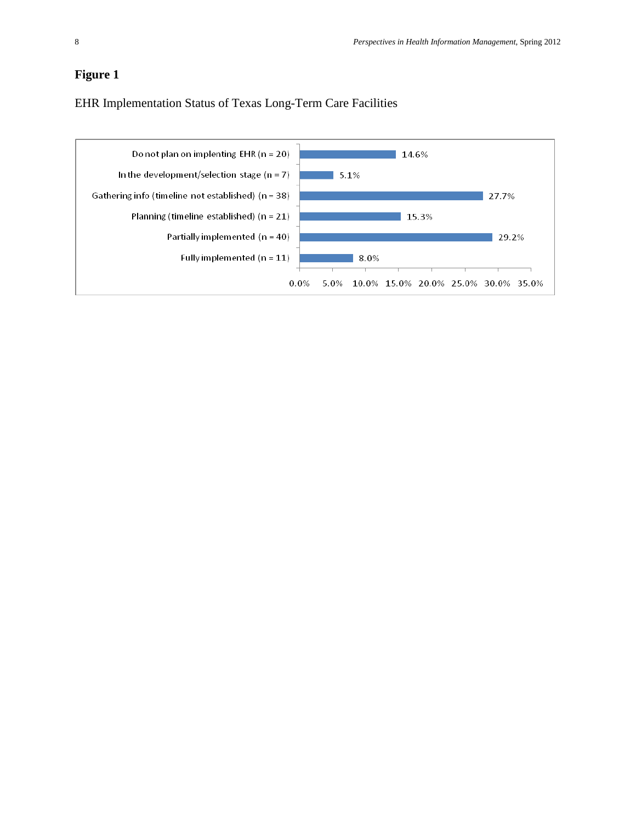## **Figure 1**

EHR Implementation Status of Texas Long-Term Care Facilities

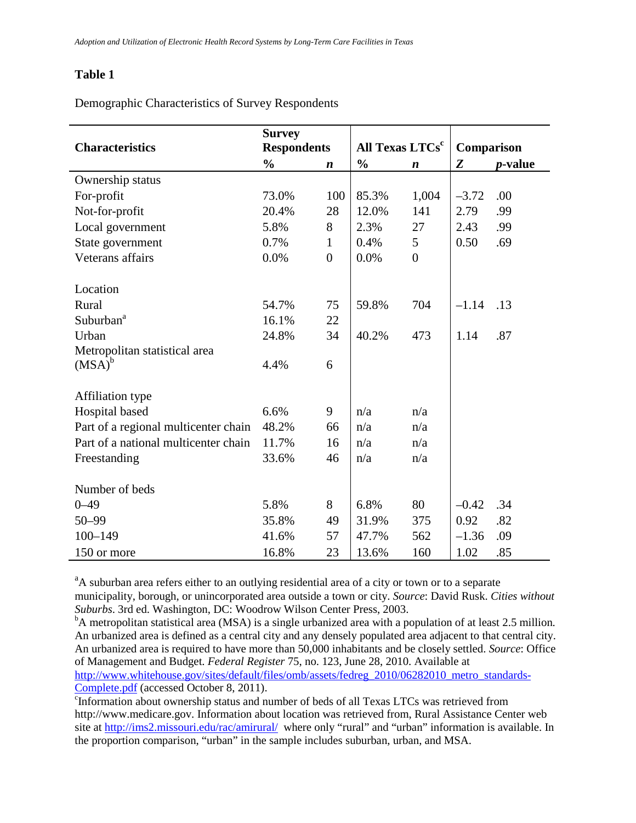Demographic Characteristics of Survey Respondents

|                                      | <b>Survey</b>      |                  |                             |                  |            |                 |
|--------------------------------------|--------------------|------------------|-----------------------------|------------------|------------|-----------------|
| <b>Characteristics</b>               | <b>Respondents</b> |                  | All Texas LTCs <sup>c</sup> |                  | Comparison |                 |
|                                      | $\frac{0}{0}$      | n                | $\frac{0}{0}$               | $\boldsymbol{n}$ | Z          | <i>p</i> -value |
| Ownership status                     |                    |                  |                             |                  |            |                 |
| For-profit                           | 73.0%              | 100              | 85.3%                       | 1,004            | $-3.72$    | .00             |
| Not-for-profit                       | 20.4%              | 28               | 12.0%                       | 141              | 2.79       | .99             |
| Local government                     | 5.8%               | 8                | 2.3%                        | 27               | 2.43       | .99             |
| State government                     | 0.7%               | $\mathbf{1}$     | 0.4%                        | 5                | 0.50       | .69             |
| Veterans affairs                     | 0.0%               | $\boldsymbol{0}$ | 0.0%                        | $\overline{0}$   |            |                 |
|                                      |                    |                  |                             |                  |            |                 |
| Location                             |                    |                  |                             |                  |            |                 |
| Rural                                | 54.7%              | 75               | 59.8%                       | 704              | $-1.14$    | .13             |
| Suburban <sup>a</sup>                | 16.1%              | 22               |                             |                  |            |                 |
| Urban                                | 24.8%              | 34               | 40.2%                       | 473              | 1.14       | .87             |
| Metropolitan statistical area        |                    |                  |                             |                  |            |                 |
| $(MSA)^b$                            | 4.4%               | 6                |                             |                  |            |                 |
|                                      |                    |                  |                             |                  |            |                 |
| <b>Affiliation type</b>              |                    |                  |                             |                  |            |                 |
| Hospital based                       | 6.6%               | 9                | n/a                         | n/a              |            |                 |
| Part of a regional multicenter chain | 48.2%              | 66               | n/a                         | n/a              |            |                 |
| Part of a national multicenter chain | 11.7%              | 16               | n/a                         | n/a              |            |                 |
| Freestanding                         | 33.6%              | 46               | n/a                         | n/a              |            |                 |
|                                      |                    |                  |                             |                  |            |                 |
| Number of beds                       |                    |                  |                             |                  |            |                 |
| $0 - 49$                             | 5.8%               | 8                | 6.8%                        | 80               | $-0.42$    | .34             |
| $50 - 99$                            | 35.8%              | 49               | 31.9%                       | 375              | 0.92       | .82             |
| $100 - 149$                          | 41.6%              | 57               | 47.7%                       | 562              | $-1.36$    | .09             |
| 150 or more                          | 16.8%              | 23               | 13.6%                       | 160              | 1.02       | .85             |

<sup>a</sup>A suburban area refers either to an outlying residential area of a city or town or to a separate municipality, borough, or unincorporated area outside a town or city. *Source*: David Rusk. *Cities without Suburbs*. 3rd ed. Washington, DC: Woodrow Wilson Center Press, 2003.

<sup>b</sup>A metropolitan statistical area (MSA) is a single urbanized area with a population of at least 2.5 million. An urbanized area is defined as a central city and any densely populated area adjacent to that central city. An urbanized area is required to have more than 50,000 inhabitants and be closely settled. *Source*: Office of Management and Budget. *Federal Register* 75, no. 123, June 28, 2010. Available at [http://www.whitehouse.gov/sites/default/files/omb/assets/fedreg\\_2010/06282010\\_metro\\_standards-](http://www.whitehouse.gov/sites/default/files/omb/assets/fedreg_2010/06282010_metro_standards-Complete.pdf)[Complete.pdf](http://www.whitehouse.gov/sites/default/files/omb/assets/fedreg_2010/06282010_metro_standards-Complete.pdf) (accessed October 8, 2011).

Information about ownership status and number of beds of all Texas LTCs was retrieved from http://www.medicare.gov. Information about location was retrieved from, Rural Assistance Center web site at<http://ims2.missouri.edu/rac/amirural/>where only "rural" and "urban" information is available. In the proportion comparison, "urban" in the sample includes suburban, urban, and MSA.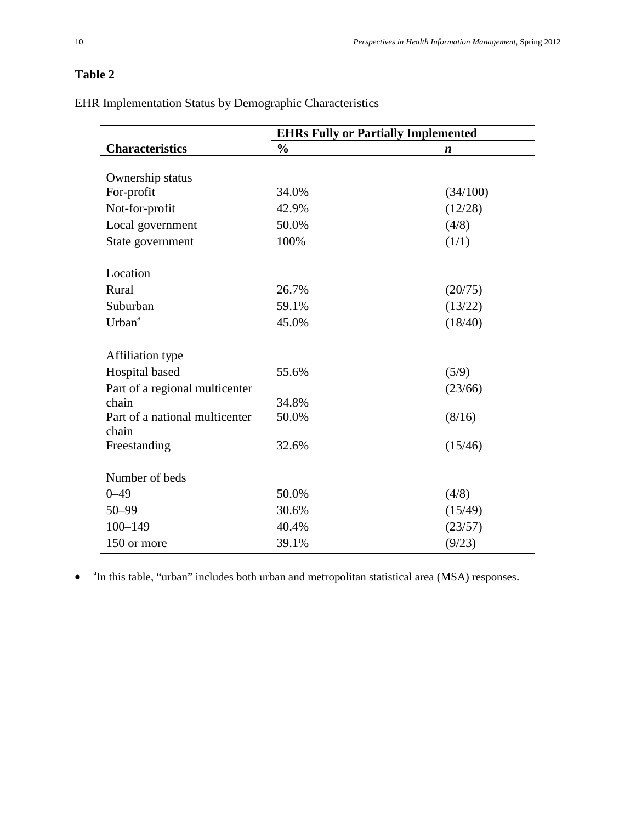EHR Implementation Status by Demographic Characteristics

|                                | <b>EHRs Fully or Partially Implemented</b> |                  |  |
|--------------------------------|--------------------------------------------|------------------|--|
| <b>Characteristics</b>         | $\frac{0}{0}$                              | $\boldsymbol{n}$ |  |
|                                |                                            |                  |  |
| Ownership status               |                                            |                  |  |
| For-profit                     | 34.0%                                      | (34/100)         |  |
| Not-for-profit                 | 42.9%                                      | (12/28)          |  |
| Local government               | 50.0%                                      | (4/8)            |  |
| State government               | 100%                                       | (1/1)            |  |
| Location                       |                                            |                  |  |
| Rural                          | 26.7%                                      | (20/75)          |  |
| Suburban                       | 59.1%                                      | (13/22)          |  |
| Urban <sup>a</sup>             | 45.0%                                      | (18/40)          |  |
| <b>Affiliation type</b>        |                                            |                  |  |
| Hospital based                 | 55.6%                                      | (5/9)            |  |
| Part of a regional multicenter |                                            | (23/66)          |  |
| chain                          | 34.8%                                      |                  |  |
| Part of a national multicenter | 50.0%                                      | (8/16)           |  |
| chain<br>Freestanding          | 32.6%                                      | (15/46)          |  |
|                                |                                            |                  |  |
| Number of beds                 |                                            |                  |  |
| $0 - 49$                       | 50.0%                                      | (4/8)            |  |
| 50-99                          | 30.6%                                      | (15/49)          |  |
| $100 - 149$                    | 40.4%                                      | (23/57)          |  |
| 150 or more                    | 39.1%                                      | (9/23)           |  |

• <sup>a</sup>In this table, "urban" includes both urban and metropolitan statistical area (MSA) responses.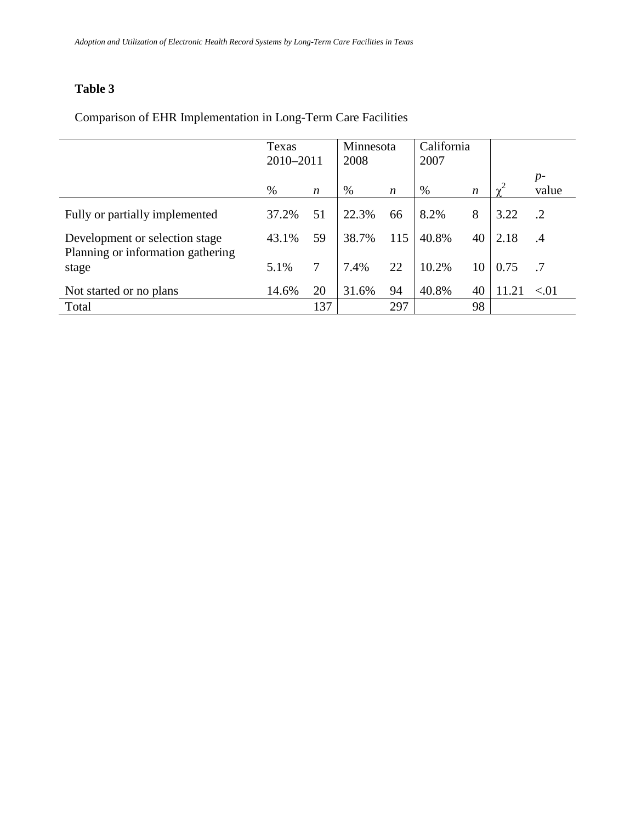|                                            | Texas<br>2010-2011 |     | Minnesota<br>2008 |                  | California<br>2007 |                  |      |               |
|--------------------------------------------|--------------------|-----|-------------------|------------------|--------------------|------------------|------|---------------|
|                                            | %                  | n   | $\%$              | $\boldsymbol{n}$ | $\%$               | $\boldsymbol{n}$ |      | $p-$<br>value |
| Fully or partially implemented             | 37.2%              | 51  | 22.3%             | 66               | 8.2%               | 8                | 3.22 | .2            |
| Development or selection stage             | 43.1%              | 59  | 38.7%             | 115              | 40.8%              | 40               | 2.18 | .4            |
| Planning or information gathering<br>stage | 5.1%               | 7   | 7.4%              | 22               | 10.2%              | 10               | 0.75 | .7            |
| Not started or no plans                    | 14.6%              | 20  | 31.6%             | 94               | 40.8%              | 40               | 11.2 | < 01          |
| Total                                      |                    | 137 |                   | 297              |                    | 98               |      |               |

# Comparison of EHR Implementation in Long-Term Care Facilities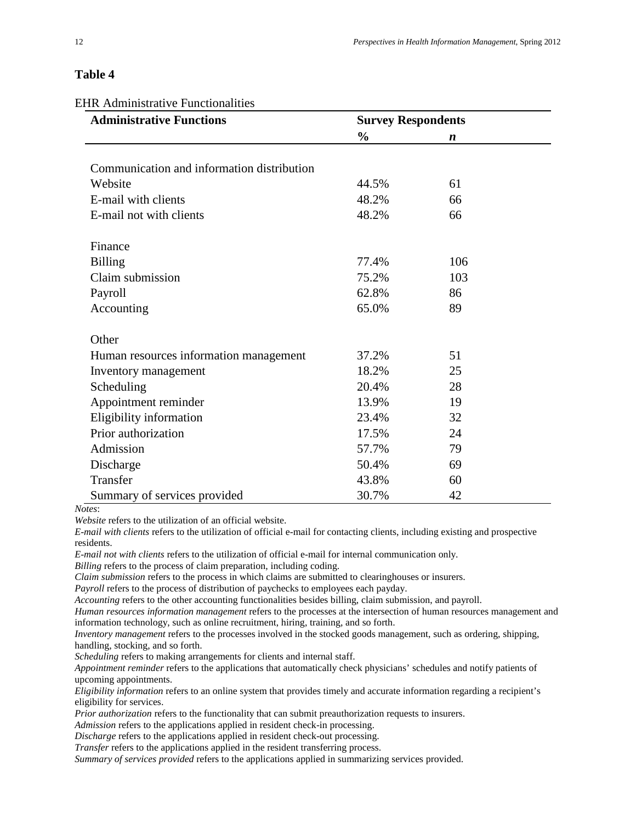EHR Administrative Functionalities

| <b>Administrative Functions</b>            | <b>Survey Respondents</b> |                  |  |
|--------------------------------------------|---------------------------|------------------|--|
|                                            | $\frac{0}{0}$             | $\boldsymbol{n}$ |  |
|                                            |                           |                  |  |
| Communication and information distribution |                           |                  |  |
| Website                                    | 44.5%                     | 61               |  |
| E-mail with clients                        | 48.2%                     | 66               |  |
| E-mail not with clients                    | 48.2%                     | 66               |  |
| Finance                                    |                           |                  |  |
| <b>Billing</b>                             | 77.4%                     | 106              |  |
| Claim submission                           | 75.2%                     | 103              |  |
| Payroll                                    | 62.8%                     | 86               |  |
| Accounting                                 | 65.0%                     | 89               |  |
| Other                                      |                           |                  |  |
| Human resources information management     | 37.2%                     | 51               |  |
| Inventory management                       | 18.2%                     | 25               |  |
| Scheduling                                 | 20.4%                     | 28               |  |
| Appointment reminder                       | 13.9%                     | 19               |  |
| Eligibility information                    | 23.4%                     | 32               |  |
| Prior authorization                        | 17.5%                     | 24               |  |
| Admission                                  | 57.7%                     | 79               |  |
| Discharge                                  | 50.4%                     | 69               |  |
| Transfer                                   | 43.8%                     | 60               |  |
| Summary of services provided               | 30.7%                     | 42               |  |

*Notes*:

*Website* refers to the utilization of an official website.

*E-mail with clients* refers to the utilization of official e-mail for contacting clients, including existing and prospective residents.

*E-mail not with clients* refers to the utilization of official e-mail for internal communication only.

*Billing* refers to the process of claim preparation, including coding.

*Claim submission* refers to the process in which claims are submitted to clearinghouses or insurers.

*Payroll* refers to the process of distribution of paychecks to employees each payday.

*Accounting* refers to the other accounting functionalities besides billing, claim submission, and payroll.

*Human resources information management* refers to the processes at the intersection of human resources management and information technology, such as online recruitment, hiring, training, and so forth.

*Inventory management* refers to the processes involved in the stocked goods management, such as ordering, shipping, handling, stocking, and so forth.

*Scheduling* refers to making arrangements for clients and internal staff.

*Appointment reminder* refers to the applications that automatically check physicians' schedules and notify patients of upcoming appointments.

*Eligibility information* refers to an online system that provides timely and accurate information regarding a recipient's eligibility for services.

*Prior authorization* refers to the functionality that can submit preauthorization requests to insurers.

*Admission* refers to the applications applied in resident check-in processing.

*Discharge* refers to the applications applied in resident check-out processing.

*Transfer* refers to the applications applied in the resident transferring process.

*Summary of services provided* refers to the applications applied in summarizing services provided.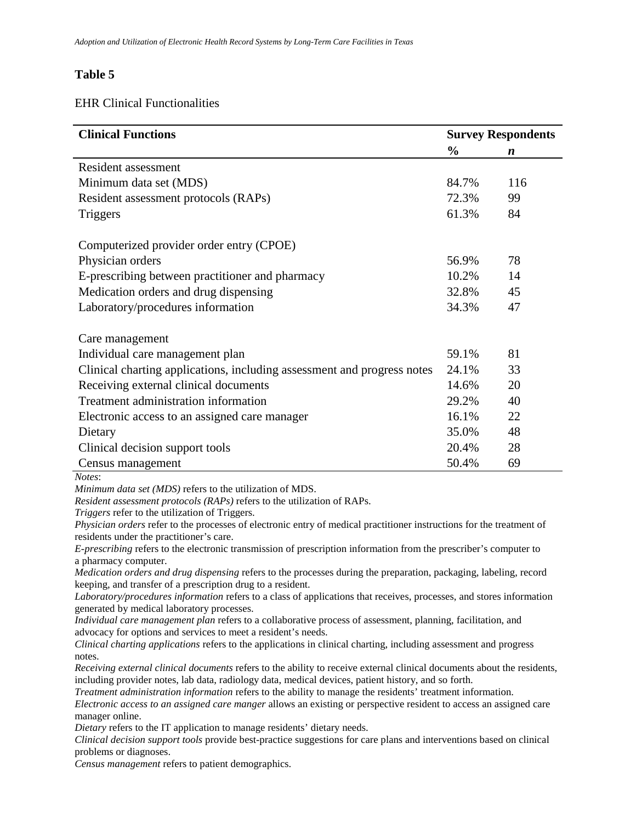#### EHR Clinical Functionalities

| <b>Clinical Functions</b>                                               |               | <b>Survey Respondents</b> |
|-------------------------------------------------------------------------|---------------|---------------------------|
|                                                                         | $\frac{0}{0}$ | $\boldsymbol{n}$          |
| Resident assessment                                                     |               |                           |
| Minimum data set (MDS)                                                  | 84.7%         | 116                       |
| Resident assessment protocols (RAPs)                                    | 72.3%         | 99                        |
| <b>Triggers</b>                                                         | 61.3%         | 84                        |
| Computerized provider order entry (CPOE)                                |               |                           |
| Physician orders                                                        | 56.9%         | 78                        |
| E-prescribing between practitioner and pharmacy                         | 10.2%         | 14                        |
| Medication orders and drug dispensing                                   | 32.8%         | 45                        |
| Laboratory/procedures information                                       | 34.3%         | 47                        |
| Care management                                                         |               |                           |
| Individual care management plan                                         | 59.1%         | 81                        |
| Clinical charting applications, including assessment and progress notes | 24.1%         | 33                        |
| Receiving external clinical documents                                   | 14.6%         | 20                        |
| Treatment administration information                                    | 29.2%         | 40                        |
| Electronic access to an assigned care manager                           | 16.1%         | 22                        |
| Dietary                                                                 | 35.0%         | 48                        |
| Clinical decision support tools                                         | 20.4%         | 28                        |
| Census management                                                       | 50.4%         | 69                        |
| Notes:<br>Minimum data set (MDS) refers to the utilization of MDS.      |               |                           |

*Resident assessment protocols (RAPs)* refers to the utilization of RAPs.

*Triggers* refer to the utilization of Triggers.

*Physician orders* refer to the processes of electronic entry of medical practitioner instructions for the treatment of residents under the practitioner's care.

*E-prescribing* refers to the electronic transmission of prescription information from the prescriber's computer to a pharmacy computer.

*Medication orders and drug dispensing* refers to the processes during the preparation, packaging, labeling, record keeping, and transfer of a prescription drug to a resident.

*Laboratory/procedures information* refers to a class of applications that receives, processes, and stores information generated by medical laboratory processes.

*Individual care management plan* refers to a collaborative process of assessment, planning, facilitation, and advocacy for options and services to meet a resident's needs.

*Clinical charting applications* refers to the applications in clinical charting, including assessment and progress notes.

*Receiving external clinical documents* refers to the ability to receive external clinical documents about the residents, including provider notes, lab data, radiology data, medical devices, patient history, and so forth.

*Treatment administration information* refers to the ability to manage the residents' treatment information.

*Electronic access to an assigned care manger* allows an existing or perspective resident to access an assigned care manager online.

*Dietary* refers to the IT application to manage residents' dietary needs.

*Clinical decision support tools* provide best-practice suggestions for care plans and interventions based on clinical problems or diagnoses.

*Census management* refers to patient demographics.